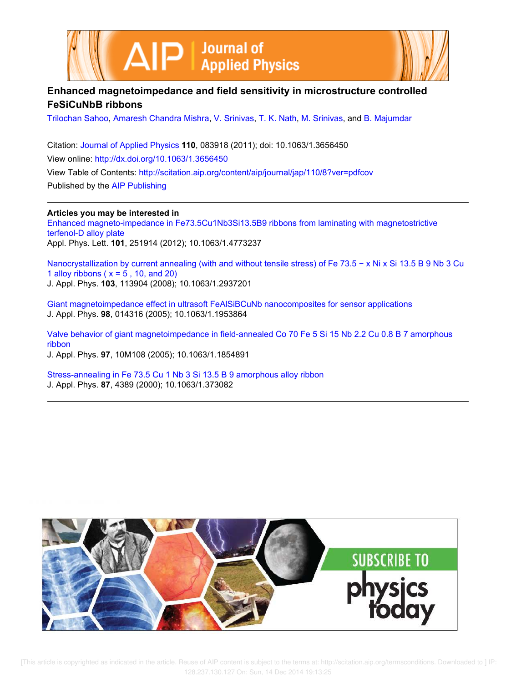



# **Enhanced magnetoimpedance and field sensitivity in microstructure controlled FeSiCuNbB ribbons**

Trilochan Sahoo, Amaresh Chandra Mishra, V. Srinivas, T. K. Nath, M. Srinivas, and B. Majumdar

Citation: Journal of Applied Physics **110**, 083918 (2011); doi: 10.1063/1.3656450 View online: http://dx.doi.org/10.1063/1.3656450 View Table of Contents: http://scitation.aip.org/content/aip/journal/jap/110/8?ver=pdfcov Published by the AIP Publishing

**Articles you may be interested in**

Enhanced magneto-impedance in Fe73.5Cu1Nb3Si13.5B9 ribbons from laminating with magnetostrictive terfenol-D alloy plate Appl. Phys. Lett. **101**, 251914 (2012); 10.1063/1.4773237

Nanocrystallization by current annealing (with and without tensile stress) of Fe 73.5 − x Ni x Si 13.5 B 9 Nb 3 Cu 1 alloy ribbons ( $x = 5$ , 10, and 20) J. Appl. Phys. **103**, 113904 (2008); 10.1063/1.2937201

Giant magnetoimpedance effect in ultrasoft FeAlSiBCuNb nanocomposites for sensor applications J. Appl. Phys. **98**, 014316 (2005); 10.1063/1.1953864

Valve behavior of giant magnetoimpedance in field-annealed Co 70 Fe 5 Si 15 Nb 2.2 Cu 0.8 B 7 amorphous ribbon J. Appl. Phys. **97**, 10M108 (2005); 10.1063/1.1854891

Stress-annealing in Fe 73.5 Cu 1 Nb 3 Si 13.5 B 9 amorphous alloy ribbon J. Appl. Phys. **87**, 4389 (2000); 10.1063/1.373082

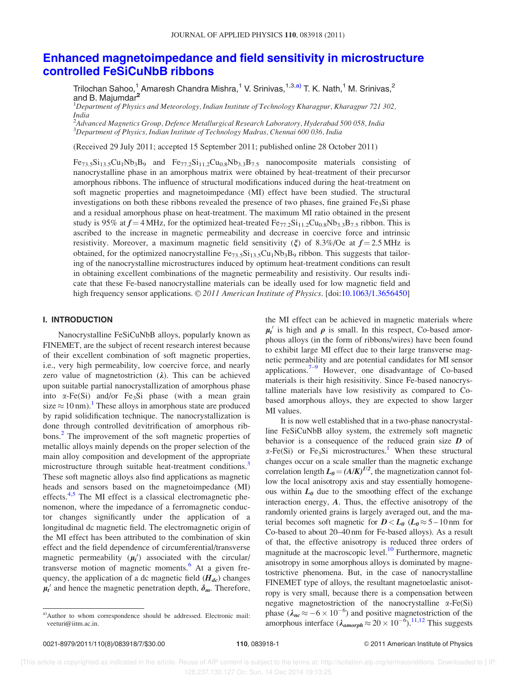# Enhanced magnetoimpedance and field sensitivity in microstructure controlled FeSiCuNbB ribbons

Trilochan Sahoo,<sup>1</sup> Amaresh Chandra Mishra,<sup>1</sup> V. Srinivas,<sup>1,3,a)</sup> T. K. Nath,<sup>1</sup> M. Srinivas,<sup>2</sup> and B. Majumdar<sup>2</sup>

<sup>1</sup>*Department of Physics and Meteorology, Indian Institute of Technology Kharagpur, Kharagpur 721 302, India*

2 *Advanced Magnetics Group, Defence Metallurgical Research Laboratory, Hyderabad 500 058, India* <sup>3</sup>*Department of Physics, Indian Institute of Technology Madras, Chennai 600 036, India*

(Received 29 July 2011; accepted 15 September 2011; published online 28 October 2011)

 $Fe_{73.5}Si_{13.5}Cu_1Nb_3B_9$  and  $Fe_{77.2}Si_{11.2}Cu_{0.8}Nb_{3.3}B_{7.5}$  nanocomposite materials consisting of nanocrystalline phase in an amorphous matrix were obtained by heat-treatment of their precursor amorphous ribbons. The influence of structural modifications induced during the heat-treatment on soft magnetic properties and magnetoimpedance (MI) effect have been studied. The structural investigations on both these ribbons revealed the presence of two phases, fine grained  $Fe<sub>3</sub>Si$  phase and a residual amorphous phase on heat-treatment. The maximum MI ratio obtained in the present study is 95% at  $f = 4$  MHz, for the optimized heat-treated Fe<sub>77.2</sub>Si<sub>11.2</sub>Cu<sub>0.8</sub>Nb<sub>3.3</sub>B<sub>7.5</sub> ribbon. This is ascribed to the increase in magnetic permeability and decrease in coercive force and intrinsic resistivity. Moreover, a maximum magnetic field sensitivity  $(\xi)$  of 8.3%/Oe at  $f = 2.5$  MHz is obtained, for the optimized nanocrystalline  $Fe_{73.5}Si_{13.5}Cu_1Nb_3B_9$  ribbon. This suggests that tailoring of the nanocrystalline microstructures induced by optimum heat-treatment conditions can result in obtaining excellent combinations of the magnetic permeability and resistivity. Our results indicate that these Fe-based nanocrystalline materials can be ideally used for low magnetic field and high frequency sensor applications. © 2011 American Institute of Physics. [doi:10.1063/1.3656450]

# I. INTRODUCTION

Nanocrystalline FeSiCuNbB alloys, popularly known as FINEMET, are the subject of recent research interest because of their excellent combination of soft magnetic properties, i.e., very high permeability, low coercive force, and nearly zero value of magnetostriction  $(\lambda)$ . This can be achieved upon suitable partial nanocrystallization of amorphous phase into  $\alpha$ -Fe(Si) and/or Fe<sub>3</sub>Si phase (with a mean grain size  $\approx 10$  nm).<sup>1</sup> These alloys in amorphous state are produced by rapid solidification technique. The nanocrystallization is done through controlled devitrification of amorphous ribbons.<sup>2</sup> The improvement of the soft magnetic properties of metallic alloys mainly depends on the proper selection of the main alloy composition and development of the appropriate microstructure through suitable heat-treatment conditions.<sup>3</sup> These soft magnetic alloys also find applications as magnetic heads and sensors based on the magnetoimpedance (MI) effects.<sup>4,5</sup> The MI effect is a classical electromagnetic phenomenon, where the impedance of a ferromagnetic conductor changes significantly under the application of a longitudinal dc magnetic field. The electromagnetic origin of the MI effect has been attributed to the combination of skin effect and the field dependence of circumferential/transverse magnetic permeability  $(\mu_t)$  associated with the circular/ transverse motion of magnetic moments. $<sup>6</sup>$  At a given fre-</sup> quency, the application of a dc magnetic field  $(H_{dc})$  changes  $\mu_t'$  and hence the magnetic penetration depth,  $\delta_m$ . Therefore,

the MI effect can be achieved in magnetic materials where  $\mu_t$ <sup>'</sup> is high and  $\rho$  is small. In this respect, Co-based amorphous alloys (in the form of ribbons/wires) have been found to exhibit large MI effect due to their large transverse magnetic permeability and are potential candidates for MI sensor applications.<sup>7–9</sup> However, one disadvantage of Co-based materials is their high resisitivity. Since Fe-based nanocrystalline materials have low resistivity as compared to Cobased amorphous alloys, they are expected to show larger MI values.

It is now well established that in a two-phase nanocrystalline FeSiCuNbB alloy system, the extremely soft magnetic behavior is a consequence of the reduced grain size *D* of  $\alpha$ -Fe(Si) or Fe<sub>3</sub>Si microstructures.<sup>1</sup> When these structural changes occur on a scale smaller than the magnetic exchange correlation length  $L_0 = (A/K)^{1/2}$ , the magnetization cannot follow the local anisotropy axis and stay essentially homogeneous within  $L_0$  due to the smoothing effect of the exchange interaction energy, *A*. Thus, the effective anisotropy of the randomly oriented grains is largely averaged out, and the material becomes soft magnetic for  $D < L_0$  ( $L_0 \approx 5 - 10$  nm for Co-based to about 20–40 nm for Fe-based alloys). As a result of that, the effective anisotropy is reduced three orders of magnitude at the macroscopic level.<sup>10</sup> Furthermore, magnetic anisotropy in some amorphous alloys is dominated by magnetostrictive phenomena. But, in the case of nanocrystalline FINEMET type of alloys, the resultant magnetoelastic anisotropy is very small, because there is a compensation between negative magnetostriction of the nanocrystalline  $\alpha$ -Fe(Si) phase  $(\lambda_{nc} \approx -6 \times 10^{-6})$  and positive magnetostriction of the amorphous interface  $(\lambda_{\text{amorph}} \approx 20 \times 10^{-6})$ .<sup>11,12</sup> This suggests

a)Author to whom correspondence should be addressed. Electronic mail: veeturi@iitm.ac.in.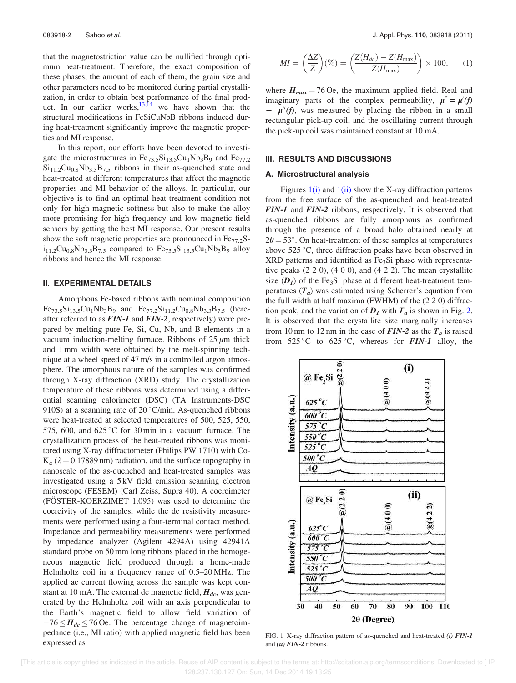that the magnetostriction value can be nullified through optimum heat-treatment. Therefore, the exact composition of these phases, the amount of each of them, the grain size and other parameters need to be monitored during partial crystallization, in order to obtain best performance of the final product. In our earlier works,  $13,14$  we have shown that the structural modifications in FeSiCuNbB ribbons induced during heat-treatment significantly improve the magnetic properties and MI response.

In this report, our efforts have been devoted to investigate the microstructures in  $Fe_{73.5}Si_{13.5}Cu_1Nb_3B_9$  and  $Fe_{77.2}$  $Si<sub>11.2</sub>Cu<sub>0.8</sub>Nb<sub>3.3</sub>B<sub>7.5</sub>$  ribbons in their as-quenched state and heat-treated at different temperatures that affect the magnetic properties and MI behavior of the alloys. In particular, our objective is to find an optimal heat-treatment condition not only for high magnetic softness but also to make the alloy more promising for high frequency and low magnetic field sensors by getting the best MI response. Our present results show the soft magnetic properties are pronounced in  $Fe<sub>77.2</sub>S$  $i_{11.2}Cu_{0.8}Nb_{3.3}B_{7.5}$  compared to  $Fe_{73.5}Si_{13.5}Cu_1Nb_3B_9$  alloy ribbons and hence the MI response.

# II. EXPERIMENTAL DETAILS

Amorphous Fe-based ribbons with nominal composition  $Fe_{73.5}Si_{13.5}Cu_1Nb_3B_9$  and  $Fe_{77.2}Si_{11.2}Cu_{0.8}Nb_{3.3}B_{7.5}$  (hereafter referred to as *FIN-1* and *FIN-2*, respectively) were prepared by melting pure Fe, Si, Cu, Nb, and B elements in a vacuum induction-melting furnace. Ribbons of  $25 \mu m$  thick and 1 mm width were obtained by the melt-spinning technique at a wheel speed of 47 m/s in a controlled argon atmosphere. The amorphous nature of the samples was confirmed through X-ray diffraction (XRD) study. The crystallization temperature of these ribbons was determined using a differential scanning calorimeter (DSC) (TA Instruments-DSC 910S) at a scanning rate of  $20^{\circ}$ C/min. As-quenched ribbons were heat-treated at selected temperatures of 500, 525, 550, 575, 600, and  $625^{\circ}$ C for 30 min in a vacuum furnace. The crystallization process of the heat-treated ribbons was monitored using X-ray diffractometer (Philips PW 1710) with Co- $K_{\alpha}$  ( $\lambda$  = 0.17889 nm) radiation, and the surface topography in nanoscale of the as-quenched and heat-treated samples was investigated using a 5 kV field emission scanning electron microscope (FESEM) (Carl Zeiss, Supra 40). A coercimeter (FÖSTER-KOERZIMET 1.095) was used to determine the coercivity of the samples, while the dc resistivity measurements were performed using a four-terminal contact method. Impedance and permeability measurements were performed by impedance analyzer (Agilent 4294A) using 42941A standard probe on 50 mm long ribbons placed in the homogeneous magnetic field produced through a home-made Helmholtz coil in a frequency range of 0.5–20 MHz. The applied ac current flowing across the sample was kept constant at 10 mA. The external dc magnetic field, *Hdc*, was generated by the Helmholtz coil with an axis perpendicular to the Earth's magnetic field to allow field variation of  $-76 \leq H_{dc} \leq 76$  Oe. The percentage change of magnetoimpedance (i.e., MI ratio) with applied magnetic field has been expressed as

$$
MI = \left(\frac{\Delta Z}{Z}\right)(\%) = \left(\frac{Z(H_{dc}) - Z(H_{\text{max}})}{Z(H_{\text{max}})}\right) \times 100, \quad (1)
$$

where  $H_{max} = 76$  Oe, the maximum applied field. Real and imaginary parts of the complex permeability,  $\mu^* = \mu' (f)$  $-\mu''(f)$ , was measured by placing the ribbon in a small rectangular pick-up coil, and the oscillating current through the pick-up coil was maintained constant at 10 mA.

## III. RESULTS AND DISCUSSIONS

#### A. Microstructural analysis

Figures  $1(i)$  and  $1(ii)$  show the X-ray diffraction patterns from the free surface of the as-quenched and heat-treated *FIN-1* and *FIN-2* ribbons, respectively. It is observed that as-quenched ribbons are fully amorphous as confirmed through the presence of a broad halo obtained nearly at  $2\theta = 53^{\circ}$ . On heat-treatment of these samples at temperatures above  $525^{\circ}$ C, three diffraction peaks have been observed in XRD patterns and identified as Fe<sub>3</sub>Si phase with representative peaks  $(2\ 2\ 0)$ ,  $(4\ 0\ 0)$ , and  $(4\ 2\ 2)$ . The mean crystallite size  $(D_1)$  of the Fe<sub>3</sub>Si phase at different heat-treatment temperatures (*Ta*) was estimated using Scherrer's equation from the full width at half maxima (FWHM) of the (2 2 0) diffraction peak, and the variation of  $D_I$  with  $T_a$  is shown in Fig. 2. It is observed that the crystallite size marginally increases from 10 nm to 12 nm in the case of  $FIN-2$  as the  $T_a$  is raised from  $525^{\circ}$ C to  $625^{\circ}$ C, whereas for *FIN-1* alloy, the



FIG. 1 X-ray diffraction pattern of as-quenched and heat-treated *(i) FIN-1* and *(ii) FIN-2* ribbons.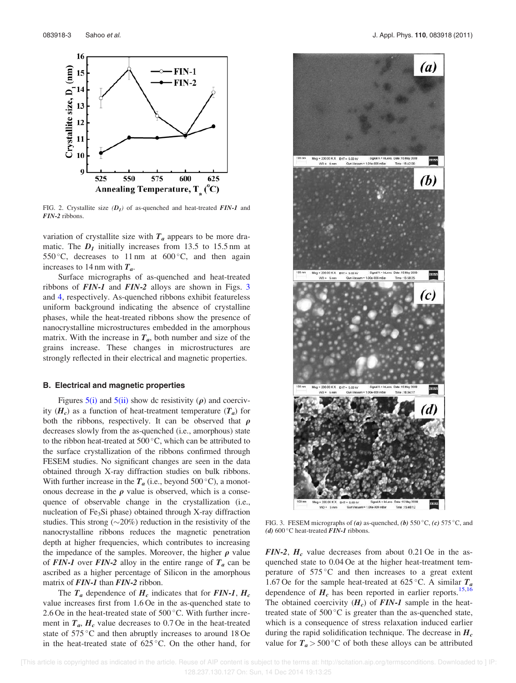

FIG. 2. Crystallite size *(D<sup>1</sup> )* of as-quenched and heat-treated *FIN-1* and *FIN-2* ribbons.

variation of crystallite size with  $T_a$  appears to be more dramatic. The  $D_I$  initially increases from 13.5 to 15.5 nm at 550 °C, decreases to 11 nm at  $600$  °C, and then again increases to 14 nm with *Ta*.

Surface micrographs of as-quenched and heat-treated ribbons of *FIN-1* and *FIN-2* alloys are shown in Figs. 3 and 4, respectively. As-quenched ribbons exhibit featureless uniform background indicating the absence of crystalline phases, while the heat-treated ribbons show the presence of nanocrystalline microstructures embedded in the amorphous matrix. With the increase in  $T_a$ , both number and size of the grains increase. These changes in microstructures are strongly reflected in their electrical and magnetic properties.

### B. Electrical and magnetic properties

Figures  $5(i)$  and  $5(ii)$  show dc resistivity ( $\rho$ ) and coercivity  $(H_c)$  as a function of heat-treatment temperature  $(T_a)$  for both the ribbons, respectively. It can be observed that  $\rho$ decreases slowly from the as-quenched (i.e., amorphous) state to the ribbon heat-treated at  $500\,^{\circ}$ C, which can be attributed to the surface crystallization of the ribbons confirmed through FESEM studies. No significant changes are seen in the data obtained through X-ray diffraction studies on bulk ribbons. With further increase in the  $T_a$  (i.e., beyond 500 °C), a monotonous decrease in the  $\rho$  value is observed, which is a consequence of observable change in the crystallization (i.e., nucleation of Fe3Si phase) obtained through X-ray diffraction studies. This strong  $(\sim 20\%)$  reduction in the resistivity of the nanocrystalline ribbons reduces the magnetic penetration depth at higher frequencies, which contributes to increasing the impedance of the samples. Moreover, the higher  $\rho$  value of **FIN-1** over **FIN-2** alloy in the entire range of  $T_a$  can be ascribed as a higher percentage of Silicon in the amorphous matrix of *FIN-1* than *FIN-2* ribbon.

The  $T_a$  dependence of  $H_c$  indicates that for *FIN-1*,  $H_c$ value increases first from 1.6 Oe in the as-quenched state to 2.6 Oe in the heat-treated state of  $500\,^{\circ}$ C. With further increment in  $T_a$ ,  $H_c$  value decreases to 0.7 Oe in the heat-treated state of  $575^{\circ}$ C and then abruptly increases to around 18 Oe in the heat-treated state of  $625^{\circ}$ C. On the other hand, for



FIG. 3. FESEM micrographs of (a) as-quenched, (b)  $550^{\circ}$ C, (c)  $575^{\circ}$ C, and *(d)* 600°C heat-treated *FIN-1* ribbons.

*FIN-2*,  $H_c$  value decreases from about 0.21 Oe in the asquenched state to 0.04 Oe at the higher heat-treatment temperature of  $575^{\circ}$ C and then increases to a great extent 1.67 Oe for the sample heat-treated at 625 °C. A similar  $T_a$ dependence of  $H_c$  has been reported in earlier reports.<sup>15,16</sup> The obtained coercivity  $(H_c)$  of **FIN-1** sample in the heattreated state of  $500\,^{\circ}\text{C}$  is greater than the as-quenched state, which is a consequence of stress relaxation induced earlier during the rapid solidification technique. The decrease in *H<sup>c</sup>* value for  $T_a > 500\degree C$  of both these alloys can be attributed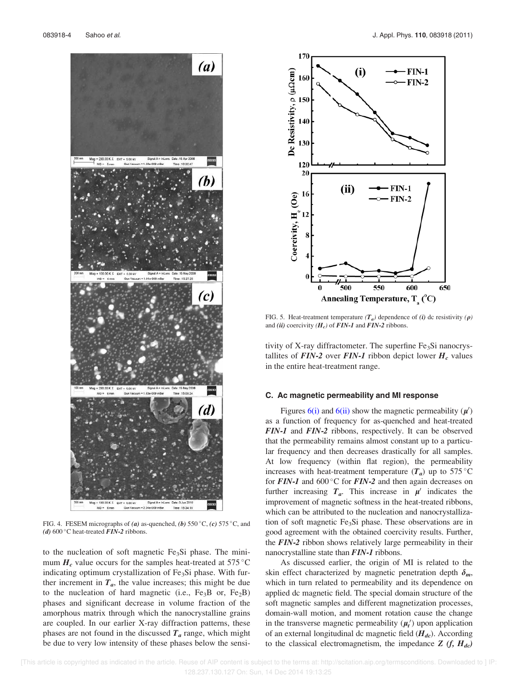

FIG. 4. FESEM micrographs of (a) as-quenched, (b)  $550^{\circ}$ C, (c)  $575^{\circ}$ C, and *(d)* 600 °C heat-treated *FIN-2* ribbons.

to the nucleation of soft magnetic  $Fe<sub>3</sub>Si$  phase. The minimum  $H_c$  value occurs for the samples heat-treated at 575 °C indicating optimum crystallization of  $Fe<sub>3</sub>Si$  phase. With further increment in  $T_a$ , the value increases; this might be due to the nucleation of hard magnetic (i.e.,  $Fe<sub>3</sub>B$  or,  $Fe<sub>2</sub>B$ ) phases and significant decrease in volume fraction of the amorphous matrix through which the nanocrystalline grains are coupled. In our earlier X-ray diffraction patterns, these phases are not found in the discussed  $T_a$  range, which might be due to very low intensity of these phases below the sensi-



FIG. 5. Heat-treatment temperature  $(T_a)$  dependence of *(i)* dc resistivity  $(\rho)$ and *(ii)* coercivity *(H<sup>c</sup> )* of *FIN-1* and *FIN-2* ribbons.

tivity of X-ray diffractometer. The superfine  $Fe<sub>3</sub>Si$  nanocrystallites of **FIN-2** over **FIN-1** ribbon depict lower  $H_c$  values in the entire heat-treatment range.

# C. Ac magnetic permeability and MI response

Figures  $6(i)$  and  $6(ii)$  show the magnetic permeability  $(\mu')$ as a function of frequency for as-quenched and heat-treated *FIN-1* and *FIN-2* ribbons, respectively. It can be observed that the permeability remains almost constant up to a particular frequency and then decreases drastically for all samples. At low frequency (within flat region), the permeability increases with heat-treatment temperature  $(T_a)$  up to 575 °C for **FIN-1** and 600 °C for **FIN-2** and then again decreases on further increasing  $T_a$ . This increase in  $\mu'$  indicates the improvement of magnetic softness in the heat-treated ribbons, which can be attributed to the nucleation and nanocrystallization of soft magnetic Fe3Si phase. These observations are in good agreement with the obtained coercivity results. Further, the *FIN-2* ribbon shows relatively large permeability in their nanocrystalline state than *FIN-1* ribbons.

As discussed earlier, the origin of MI is related to the skin effect characterized by magnetic penetration depth  $\delta_m$ , which in turn related to permeability and its dependence on applied dc magnetic field. The special domain structure of the soft magnetic samples and different magnetization processes, domain-wall motion, and moment rotation cause the change in the transverse magnetic permeability  $(\mu_t)$  upon application of an external longitudinal dc magnetic field (*Hdc*). According to the classical electromagnetism, the impedance  $Z(f, H_{dc})$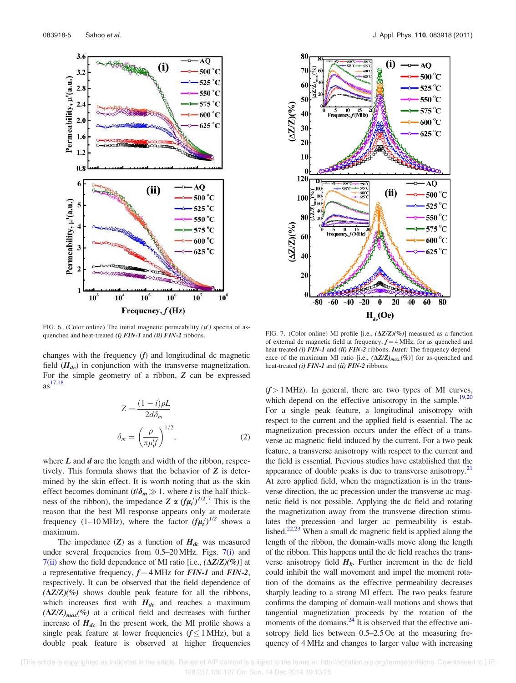

FIG. 6. (Color online) The initial magnetic permeability  $(\mu')$  spectra of asquenched and heat-treated *(i) FIN-1* and *(ii) FIN-2* ribbons. FIG. 7. (Color online) MI profile [i.e.,  $(\Delta Z/Z)(\%)$ ] measured as a function

changes with the frequency (*f*) and longitudinal dc magnetic field (*Hdc*) in conjunction with the transverse magnetization. For the simple geometry of a ribbon, *Z* can be expressed  $as^{17,18}$ 

$$
Z = \frac{(1 - i)\rho L}{2d\delta_m}
$$

$$
\delta_m = \left(\frac{\rho}{\pi \mu'_i f}\right)^{1/2},
$$
(2)

where *L* and *d* are the length and width of the ribbon, respectively. This formula shows that the behavior of *Z* is determined by the skin effect. It is worth noting that as the skin effect becomes dominant  $(t/\delta_m \gg 1$ , where *t* is the half thickness of the ribbon), the impedance  $Z \propto (f\mu_t')^{1/2}$ .<sup>7</sup> This is the reason that the best MI response appears only at moderate frequency (1–10 MHz), where the factor  $(f\mu_t')^{1/2}$  shows a maximum.

The impedance  $(Z)$  as a function of  $H_{dc}$  was measured under several frequencies from  $0.5-20 \text{ MHz}$ . Figs.  $7(i)$  and  $7(ii)$  show the field dependence of MI ratio [i.e.,  $(\Delta Z/Z)(\%)$ ] at a representative frequency,  $f = 4$  MHz for *FIN-1* and *FIN-2*, respectively. It can be observed that the field dependence of  $(\Delta Z/Z)(\%)$  shows double peak feature for all the ribbons, which increases first with  $H_{dc}$  and reaches a maximum  $(\Delta Z/Z)_{max}$ %) at a critical field and decreases with further increase of *Hdc*. In the present work, the MI profile shows a single peak feature at lower frequencies  $(f \le 1 \text{ MHz})$ , but a double peak feature is observed at higher frequencies



of external dc magnetic field at frequency,  $f = 4$  MHz, for as quenched and heat-treated *(i) FIN-1* and *(ii) FIN-2* ribbons. *Inset:* The frequency dependence of the maximum MI ratio [i.e.,  $(\Delta Z/Z)_{max}(\%)$ ] for as-quenched and heat-treated *(i) FIN-1* and *(ii) FIN-2* ribbons.

 $(f > 1$  MHz). In general, there are two types of MI curves, which depend on the effective anisotropy in the sample.<sup>19,20</sup> For a single peak feature, a longitudinal anisotropy with respect to the current and the applied field is essential. The ac magnetization precession occurs under the effect of a transverse ac magnetic field induced by the current. For a two peak feature, a transverse anisotropy with respect to the current and the field is essential. Previous studies have established that the appearance of double peaks is due to transverse anisotropy. $^{21}$ At zero applied field, when the magnetization is in the transverse direction, the ac precession under the transverse ac magnetic field is not possible. Applying the dc field and rotating the magnetization away from the transverse direction stimulates the precession and larger ac permeability is established.<sup>22,23</sup> When a small dc magnetic field is applied along the length of the ribbon, the domain-walls move along the length of the ribbon. This happens until the dc field reaches the transverse anisotropy field  $H_k$ . Further increment in the dc field could inhibit the wall movement and impel the moment rotation of the domains as the effective permeability decreases sharply leading to a strong MI effect. The two peaks feature confirms the damping of domain-wall motions and shows that tangential magnetization proceeds by the rotation of the moments of the domains. $^{24}$  It is observed that the effective anisotropy field lies between 0.5–2.5 Oe at the measuring frequency of 4 MHz and changes to larger value with increasing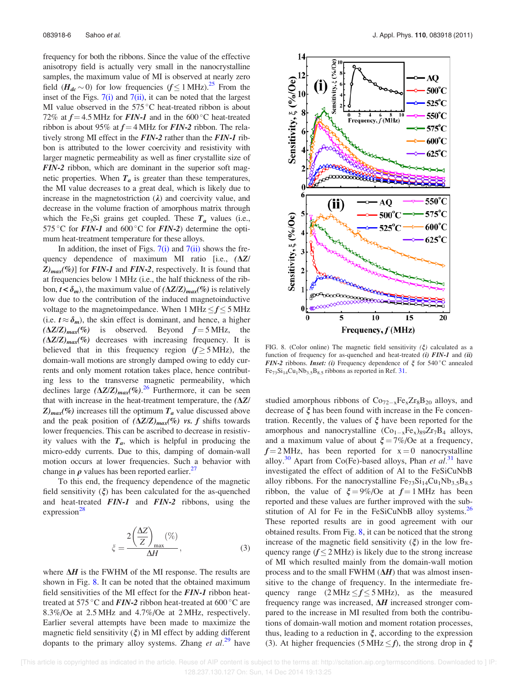frequency for both the ribbons. Since the value of the effective anisotropy field is actually very small in the nanocrystalline samples, the maximum value of MI is observed at nearly zero field  $(H_{dc} \sim 0)$  for low frequencies  $(f \le 1 \text{ MHz})^{25}$  From the inset of the Figs.  $7(i)$  and  $7(ii)$ , it can be noted that the largest MI value observed in the  $575^{\circ}$ C heat-treated ribbon is about 72% at  $f = 4.5$  MHz for *FIN-1* and in the 600 °C heat-treated ribbon is about 95% at  $f = 4$  MHz for *FIN*-2 ribbon. The relatively strong MI effect in the *FIN-2* rather than the *FIN-1* ribbon is attributed to the lower coercivity and resistivity with larger magnetic permeability as well as finer crystallite size of *FIN-2* ribbon, which are dominant in the superior soft magnetic properties. When  $T_a$  is greater than these temperatures, the MI value decreases to a great deal, which is likely due to increase in the magnetostriction  $(\lambda)$  and coercivity value, and decrease in the volume fraction of amorphous matrix through which the Fe<sub>3</sub>Si grains get coupled. These  $T_a$  values (i.e., 575 °C for  $FIN-1$  and 600 °C for  $FIN-2$ ) determine the optimum heat-treatment temperature for these alloys.

In addition, the inset of Figs.  $7(i)$  and  $7(ii)$  shows the frequency dependence of maximum MI ratio  $[i.e., (\Delta Z)/]$  $Z_{max}$ (%)] for *FIN-1* and *FIN-2*, respectively. It is found that at frequencies below 1 MHz (i.e., the half thickness of the ribbon,  $t < \delta_m$ ), the maximum value of  $(\Delta Z/Z)_{max}$ <sup>(%)</sup> is relatively low due to the contribution of the induced magnetoinductive voltage to the magnetoimpedance. When  $1 \text{ MHz} < f < 5 \text{ MHz}$ (i.e.  $t \approx \delta_m$ ), the skin effect is dominant, and hence, a higher  $(\Delta Z/Z)_{max}$  (%) is observed. Beyond  $f = 5$  MHz, the  $(\Delta Z/Z)_{max}$ (%) decreases with increasing frequency. It is believed that in this frequency region  $(f \ge 5 \text{ MHz})$ , the domain-wall motions are strongly damped owing to eddy currents and only moment rotation takes place, hence contributing less to the transverse magnetic permeability, which declines large  $(\Delta Z/Z)_{max}$  $(\%)$ .<sup>26</sup> Furthermore, it can be seen that with increase in the heat-treatment temperature, the  $(\Delta Z)$  $Z$ <sub>*max*</sub> $(\%)$  increases till the optimum  $T_a$  value discussed above and the peak position of  $(\Delta Z/Z)_{max}$ <sup>(%)</sup> vs. f shifts towards lower frequencies. This can be ascribed to decrease in resistivity values with the  $T_a$ , which is helpful in producing the micro-eddy currents. Due to this, damping of domain-wall motion occurs at lower frequencies. Such a behavior with change in  $\rho$  values has been reported earlier.<sup>27</sup>

To this end, the frequency dependence of the magnetic field sensitivity  $(\xi)$  has been calculated for the as-quenched and heat-treated *FIN-1* and *FIN-2* ribbons, using the expression $^{28}$ 

$$
\zeta = \frac{2\left(\frac{\Delta Z}{Z}\right)_{\text{max}}(\%)}{\Delta H},\tag{3}
$$

where  $\Delta H$  is the FWHM of the MI response. The results are shown in Fig.  $8$ . It can be noted that the obtained maximum field sensitivities of the MI effect for the *FIN-1* ribbon heattreated at 575 °C and  $FIN-2$  ribbon heat-treated at 600 °C are 8.3%/Oe at 2.5 MHz and 4.7%/Oe at 2 MHz, respectively. Earlier several attempts have been made to maximize the magnetic field sensitivity  $(\xi)$  in MI effect by adding different dopants to the primary alloy systems. Zhang *et al.*<sup>29</sup> have



FIG. 8. (Color online) The magnetic field sensitivity  $(\xi)$  calculated as a function of frequency for as-quenched and heat-treated *(i) FIN-1* and *(ii) FIN-2* ribbons. *Inset: (i)* Frequency dependence of  $\xi$  for 540 °C annealed  $Fe_{73}Si_{14}Cu_1Nb_{3.5}B_{8.5}$  ribbons as reported in Ref. 31.

studied amorphous ribbons of  $Co_{72-x}Fe_{x}Zr_{8}B_{20}$  alloys, and decrease of  $\xi$  has been found with increase in the Fe concentration. Recently, the values of  $\xi$  have been reported for the amorphous and nanocrystalline  $(Co_{1-x}Fe_x)_{89}Zr_7B_4$  alloys, and a maximum value of about  $\xi = 7\%/Oe$  at a frequency,  $f = 2$  MHz, has been reported for  $x = 0$  nanocrystalline alloy.<sup>30</sup> Apart from Co(Fe)-based alloys, Phan *et al.*<sup>31</sup> have investigated the effect of addition of Al to the FeSiCuNbB alloy ribbons. For the nanocrystalline  $Fe_{73}Si_{14}Cu_1Nb_{3.5}B_{8.5}$ ribbon, the value of  $\xi = 9\%$ /Oe at  $f = 1$  MHz has been reported and these values are further improved with the substitution of Al for Fe in the FeSiCuNbB alloy systems.<sup>26</sup> These reported results are in good agreement with our obtained results. From Fig. 8, it can be noticed that the strong increase of the magnetic field sensitivity  $(\xi)$  in the low frequency range  $(f \leq 2 \text{ MHz})$  is likely due to the strong increase of MI which resulted mainly from the domain-wall motion process and to the small FWHM  $(\Delta H)$  that was almost insensitive to the change of frequency. In the intermediate frequency range  $(2 \text{ MHz} \le f \le 5 \text{ MHz})$ , as the measured frequency range was increased,  $\Delta H$  increased stronger compared to the increase in MI resulted from both the contributions of domain-wall motion and moment rotation processes, thus, leading to a reduction in  $\xi$ , according to the expression (3). At higher frequencies (5 MHz  $\leq f$ ), the strong drop in  $\xi$